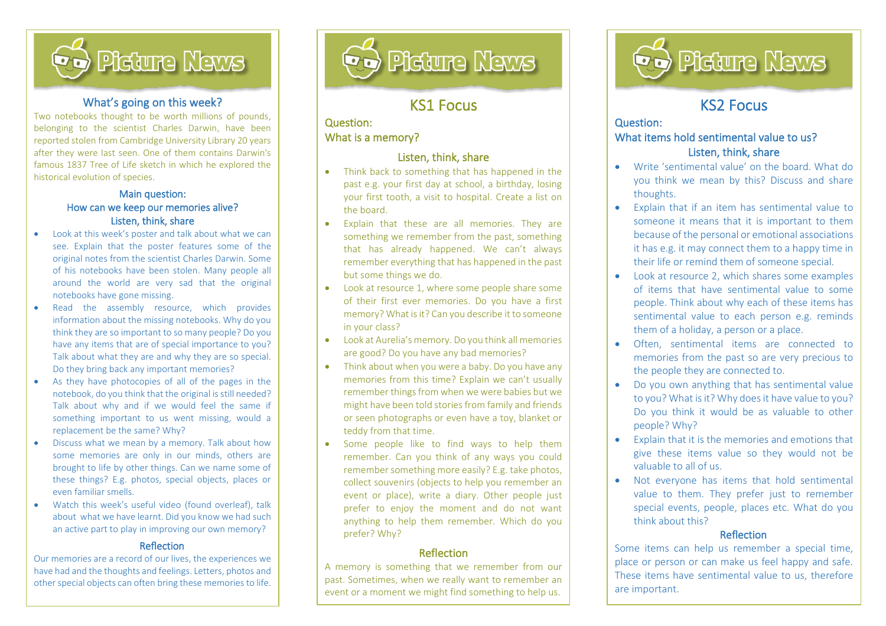

#### What's going on this week?

Two notebooks thought to be worth millions of pounds, belonging to the scientist Charles Darwin, have been reported stolen from Cambridge University Library 20 years after they were last seen. One of them contains Darwin's famous 1837 Tree of Life sketch in which he explored the historical evolution of species.

#### Main question: How can we keep our memories alive? Listen, think, share

- Look at this week's poster and talk about what we can see. Explain that the poster features some of the original notes from the scientist Charles Darwin. Some of his notebooks have been stolen. Many people all around the world are very sad that the original notebooks have gone missing.
- Read the assembly resource, which provides information about the missing notebooks. Why do you think they are so important to so many people? Do you have any items that are of special importance to you? Talk about what they are and why they are so special. Do they bring back any important memories?
- As they have photocopies of all of the pages in the notebook, do you think that the original is still needed? Talk about why and if we would feel the same if something important to us went missing, would a replacement be the same? Why?
- Discuss what we mean by a memory. Talk about how some memories are only in our minds, others are brought to life by other things. Can we name some of these things? E.g. photos, special objects, places or even familiar smells.
- Watch this week's useful video (found overleaf), talk about what we have learnt. Did you know we had such an active part to play in improving our own memory?

#### Reflection

Our memories are a record of our lives, the experiences we have had and the thoughts and feelings. Letters, photos and other special objects can often bring these memories to life.



# KS1 Focus

l

### Question: What is a memory?

İ,

### Listen, think, share

- Think back to something that has happened in the past e.g. your first day at school, a birthday, losing your first tooth, a visit to hospital. Create a list on the board.
- Explain that these are all memories. They are something we remember from the past, something that has already happened. We can't always remember everything that has happened in the past but some things we do.
- Look at resource 1, where some people share some of their first ever memories. Do you have a first memory? What is it? Can you describe it to someone in your class?
- Look at Aurelia's memory. Do you think all memories are good? Do you have any bad memories?
- Think about when you were a baby. Do you have any memories from this time? Explain we can't usually remember things from when we were babies but we might have been told stories from family and friends or seen photographs or even have a toy, blanket or teddy from that time.
- Some people like to find ways to help them remember. Can you think of any ways you could remember something more easily? E.g. take photos, collect souvenirs (objects to help you remember an event or place), write a diary. Other people just prefer to enjoy the moment and do not want anything to help them remember. Which do you prefer? Why?

#### Reflection

A memory is something that we remember from our past. Sometimes, when we really want to remember an event or a moment we might find something to help us.



# KS2 Focus

l

### Question: What items hold sentimental value to us? Listen, think, share

- Write 'sentimental value' on the board. What do you think we mean by this? Discuss and share thoughts.
- Explain that if an item has sentimental value to someone it means that it is important to them because of the personal or emotional associations it has e.g. it may connect them to a happy time in their life or remind them of someone special.
- Look at resource 2, which shares some examples of items that have sentimental value to some people. Think about why each of these items has sentimental value to each person e.g. reminds them of a holiday, a person or a place.
- Often, sentimental items are connected to memories from the past so are very precious to the people they are connected to.
- Do you own anything that has sentimental value to you? What is it? Why does it have value to you? Do you think it would be as valuable to other people? Why?
- Explain that it is the memories and emotions that give these items value so they would not be valuable to all of us.
- Not everyone has items that hold sentimental value to them. They prefer just to remember special events, people, places etc. What do you think about this?

#### **Reflection**

Some items can help us remember a special time, place or person or can make us feel happy and safe. These items have sentimental value to us, therefore are important.